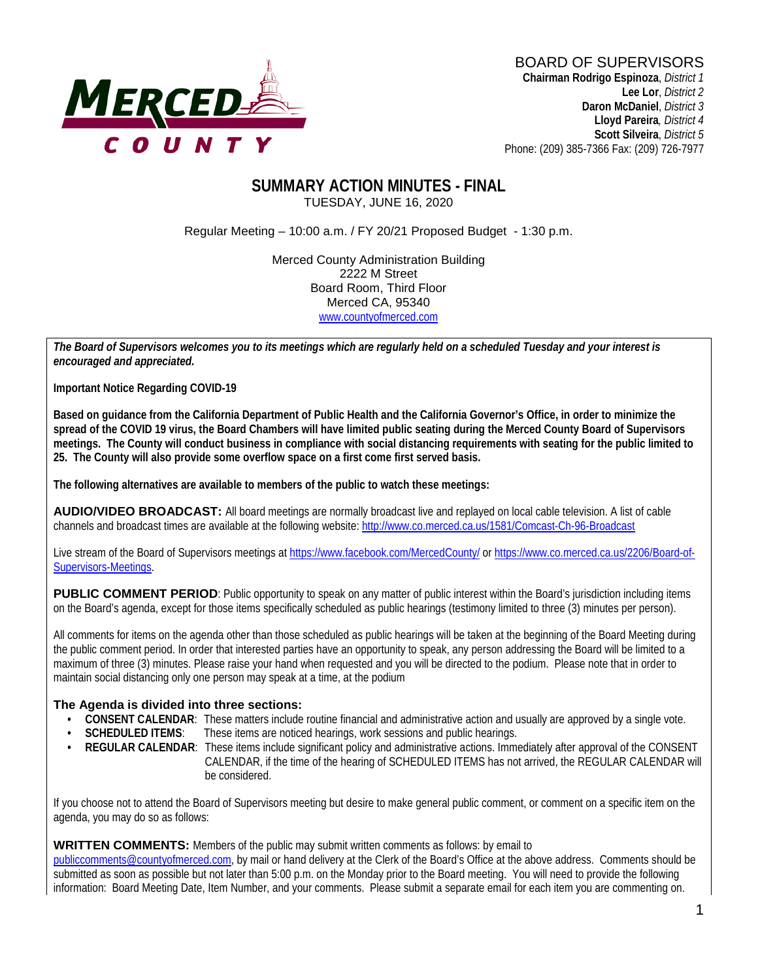

#### **SUMMARY ACTION MINUTES - FINAL** TUESDAY, JUNE 16, 2020

Regular Meeting – 10:00 a.m. / FY 20/21 Proposed Budget - 1:30 p.m.

Merced County Administration Building 2222 M Street Board Room, Third Floor Merced CA, 95340 www.countyofmerced.com

*The Board of Supervisors welcomes you to its meetings which are regularly held on a scheduled Tuesday and your interest is encouraged and appreciated.*

**Important Notice Regarding COVID-19**

**Based on guidance from the California Department of Public Health and the California Governor's Office, in order to minimize the spread of the COVID 19 virus, the Board Chambers will have limited public seating during the Merced County Board of Supervisors meetings. The County will conduct business in compliance with social distancing requirements with seating for the public limited to 25. The County will also provide some overflow space on a first come first served basis.** 

**The following alternatives are available to members of the public to watch these meetings:**

**AUDIO/VIDEO BROADCAST:** All board meetings are normally broadcast live and replayed on local cable television. A list of cable channels and broadcast times are available at the following website[: http://www.co.merced.ca.us/1581/Comcast-Ch-96-Broadcast](http://www.co.merced.ca.us/1581/Comcast-Ch-96-Broadcast)

Live stream of the Board of Supervisors meetings at<https://www.facebook.com/MercedCounty/> o[r https://www.co.merced.ca.us/2206/Board-of-](https://www.co.merced.ca.us/2206/Board-of-Supervisors-Meetings)[Supervisors-Meetings.](https://www.co.merced.ca.us/2206/Board-of-Supervisors-Meetings)

**PUBLIC COMMENT PERIOD:** Public opportunity to speak on any matter of public interest within the Board's jurisdiction including items on the Board's agenda, except for those items specifically scheduled as public hearings (testimony limited to three (3) minutes per person).

All comments for items on the agenda other than those scheduled as public hearings will be taken at the beginning of the Board Meeting during the public comment period. In order that interested parties have an opportunity to speak, any person addressing the Board will be limited to a maximum of three (3) minutes. Please raise your hand when requested and you will be directed to the podium. Please note that in order to maintain social distancing only one person may speak at a time, at the podium

#### **The Agenda is divided into three sections:**

- **CONSENT CALENDAR**: These matters include routine financial and administrative action and usually are approved by a single vote.
- **SCHEDULED ITEMS:** These items are noticed hearings, work sessions and public hearings.
- **REGULAR CALENDAR:** These items include significant policy and administrative actions. Immediately after approval of the CONSENT CALENDAR, if the time of the hearing of SCHEDULED ITEMS has not arrived, the REGULAR CALENDAR will be considered.

If you choose not to attend the Board of Supervisors meeting but desire to make general public comment, or comment on a specific item on the agenda, you may do so as follows:

#### **WRITTEN COMMENTS:** Members of the public may submit written comments as follows: by email to

[publiccomments@countyofmerced.com,](mailto:publiccomments@countyofmerced.com) by mail or hand delivery at the Clerk of the Board's Office at the above address. Comments should be submitted as soon as possible but not later than 5:00 p.m. on the Monday prior to the Board meeting. You will need to provide the following information: Board Meeting Date, Item Number, and your comments. Please submit a separate email for each item you are commenting on.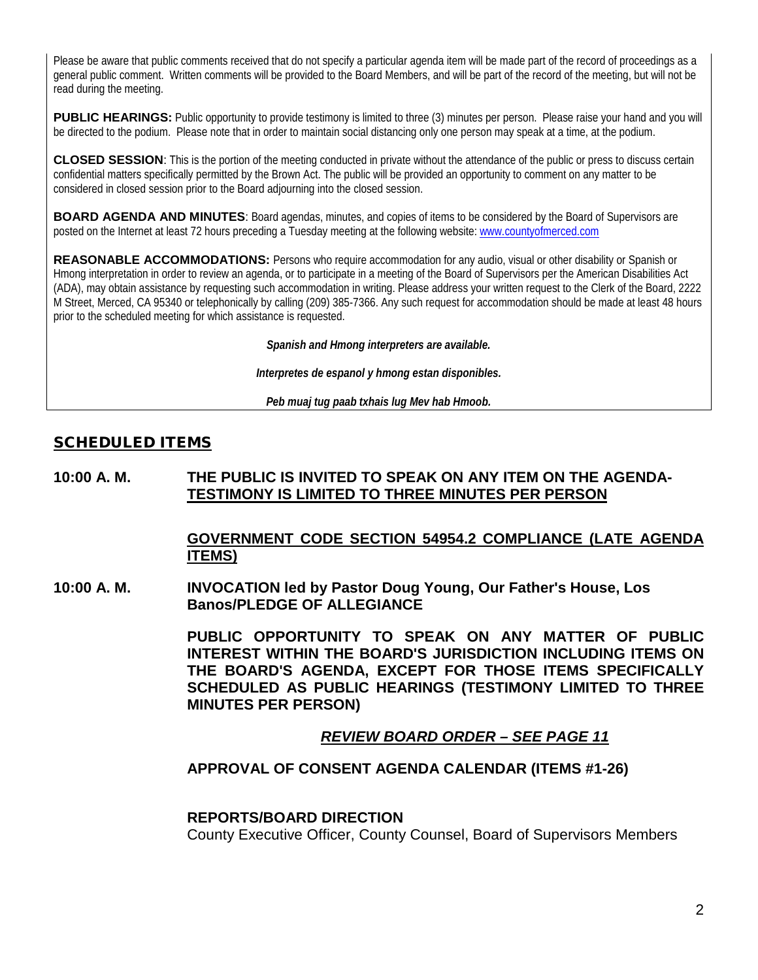Please be aware that public comments received that do not specify a particular agenda item will be made part of the record of proceedings as a general public comment. Written comments will be provided to the Board Members, and will be part of the record of the meeting, but will not be read during the meeting.

**PUBLIC HEARINGS:** Public opportunity to provide testimony is limited to three (3) minutes per person. Please raise your hand and you will be directed to the podium. Please note that in order to maintain social distancing only one person may speak at a time, at the podium.

**CLOSED SESSION**: This is the portion of the meeting conducted in private without the attendance of the public or press to discuss certain confidential matters specifically permitted by the Brown Act. The public will be provided an opportunity to comment on any matter to be considered in closed session prior to the Board adjourning into the closed session.

**BOARD AGENDA AND MINUTES:** Board agendas, minutes, and copies of items to be considered by the Board of Supervisors are posted on the Internet at least 72 hours preceding a Tuesday meeting at the following website: [www.countyofmerced.com](http://www.countyofmerced.com/) 

**REASONABLE ACCOMMODATIONS:** Persons who require accommodation for any audio, visual or other disability or Spanish or Hmong interpretation in order to review an agenda, or to participate in a meeting of the Board of Supervisors per the American Disabilities Act (ADA), may obtain assistance by requesting such accommodation in writing. Please address your written request to the Clerk of the Board, 2222 M Street, Merced, CA 95340 or telephonically by calling (209) 385-7366. Any such request for accommodation should be made at least 48 hours prior to the scheduled meeting for which assistance is requested.

*Spanish and Hmong interpreters are available.*

*Interpretes de espanol y hmong estan disponibles.*

*Peb muaj tug paab txhais lug Mev hab Hmoob.* 

#### SCHEDULED ITEMS

#### **10:00 A. M. THE PUBLIC IS INVITED TO SPEAK ON ANY ITEM ON THE AGENDA-TESTIMONY IS LIMITED TO THREE MINUTES PER PERSON**

#### **GOVERNMENT CODE SECTION 54954.2 COMPLIANCE (LATE AGENDA ITEMS)**

**10:00 A. M. INVOCATION led by Pastor Doug Young, Our Father's House, Los Banos/PLEDGE OF ALLEGIANCE**

> **PUBLIC OPPORTUNITY TO SPEAK ON ANY MATTER OF PUBLIC INTEREST WITHIN THE BOARD'S JURISDICTION INCLUDING ITEMS ON THE BOARD'S AGENDA, EXCEPT FOR THOSE ITEMS SPECIFICALLY SCHEDULED AS PUBLIC HEARINGS (TESTIMONY LIMITED TO THREE MINUTES PER PERSON)**

> > *REVIEW BOARD ORDER – SEE PAGE 11*

#### **APPROVAL OF CONSENT AGENDA CALENDAR (ITEMS #1-26)**

#### **REPORTS/BOARD DIRECTION**

County Executive Officer, County Counsel, Board of Supervisors Members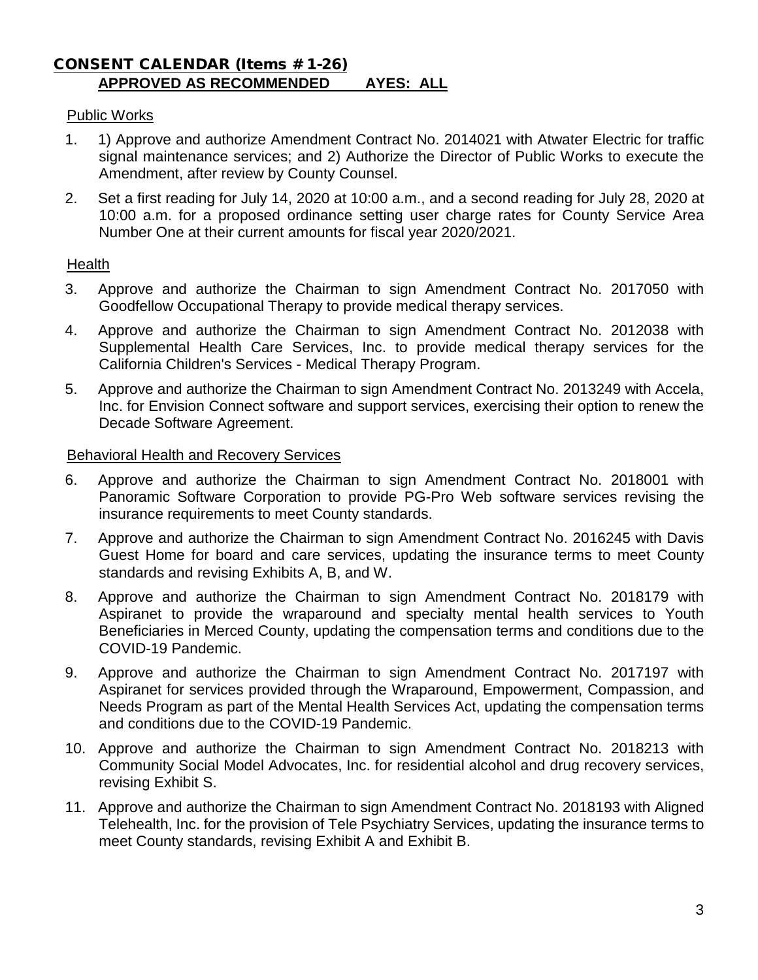#### CONSENT CALENDAR (Items # 1-26) **APPROVED AS RECOMMENDED AYES: ALL**

#### Public Works

- 1. 1) Approve and authorize Amendment Contract No. 2014021 with Atwater Electric for traffic signal maintenance services; and 2) Authorize the Director of Public Works to execute the Amendment, after review by County Counsel.
- 2. Set a first reading for July 14, 2020 at 10:00 a.m., and a second reading for July 28, 2020 at 10:00 a.m. for a proposed ordinance setting user charge rates for County Service Area Number One at their current amounts for fiscal year 2020/2021.

#### Health

- 3. Approve and authorize the Chairman to sign Amendment Contract No. 2017050 with Goodfellow Occupational Therapy to provide medical therapy services.
- 4. Approve and authorize the Chairman to sign Amendment Contract No. 2012038 with Supplemental Health Care Services, Inc. to provide medical therapy services for the California Children's Services - Medical Therapy Program.
- 5. Approve and authorize the Chairman to sign Amendment Contract No. 2013249 with Accela, Inc. for Envision Connect software and support services, exercising their option to renew the Decade Software Agreement.

#### Behavioral Health and Recovery Services

- 6. Approve and authorize the Chairman to sign Amendment Contract No. 2018001 with Panoramic Software Corporation to provide PG-Pro Web software services revising the insurance requirements to meet County standards.
- 7. Approve and authorize the Chairman to sign Amendment Contract No. 2016245 with Davis Guest Home for board and care services, updating the insurance terms to meet County standards and revising Exhibits A, B, and W.
- 8. Approve and authorize the Chairman to sign Amendment Contract No. 2018179 with Aspiranet to provide the wraparound and specialty mental health services to Youth Beneficiaries in Merced County, updating the compensation terms and conditions due to the COVID-19 Pandemic.
- 9. Approve and authorize the Chairman to sign Amendment Contract No. 2017197 with Aspiranet for services provided through the Wraparound, Empowerment, Compassion, and Needs Program as part of the Mental Health Services Act, updating the compensation terms and conditions due to the COVID-19 Pandemic.
- 10. Approve and authorize the Chairman to sign Amendment Contract No. 2018213 with Community Social Model Advocates, Inc. for residential alcohol and drug recovery services, revising Exhibit S.
- 11. Approve and authorize the Chairman to sign Amendment Contract No. 2018193 with Aligned Telehealth, Inc. for the provision of Tele Psychiatry Services, updating the insurance terms to meet County standards, revising Exhibit A and Exhibit B.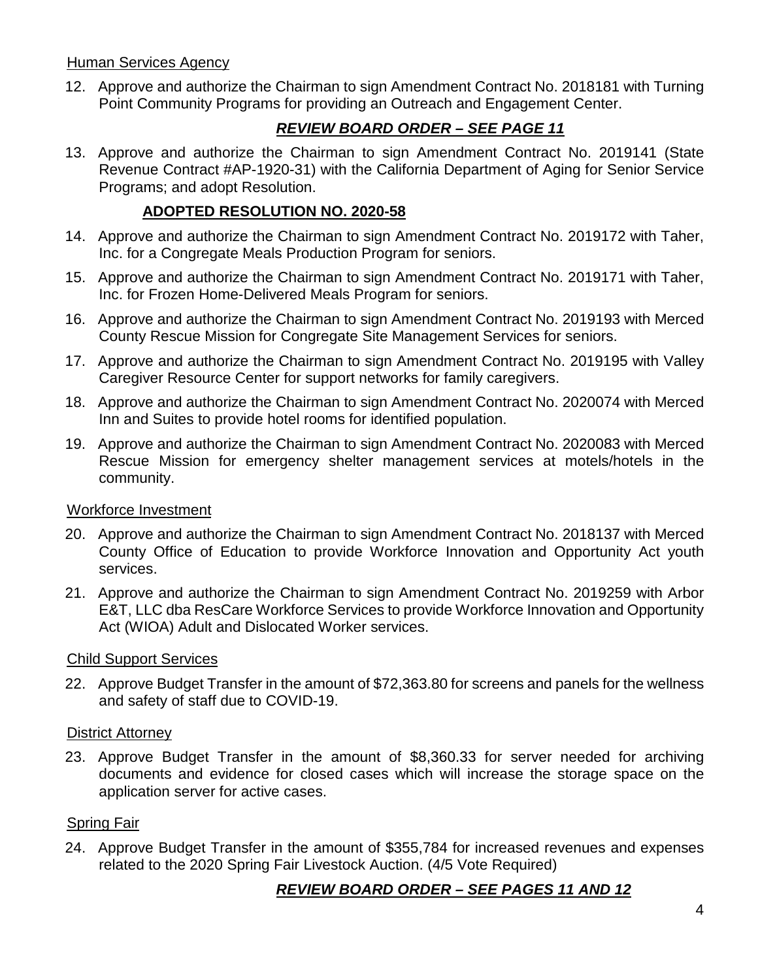#### Human Services Agency

12. Approve and authorize the Chairman to sign Amendment Contract No. 2018181 with Turning Point Community Programs for providing an Outreach and Engagement Center.

## *REVIEW BOARD ORDER – SEE PAGE 11*

13. Approve and authorize the Chairman to sign Amendment Contract No. 2019141 (State Revenue Contract #AP-1920-31) with the California Department of Aging for Senior Service Programs; and adopt Resolution.

## **ADOPTED RESOLUTION NO. 2020-58**

- 14. Approve and authorize the Chairman to sign Amendment Contract No. 2019172 with Taher, Inc. for a Congregate Meals Production Program for seniors.
- 15. Approve and authorize the Chairman to sign Amendment Contract No. 2019171 with Taher, Inc. for Frozen Home-Delivered Meals Program for seniors.
- 16. Approve and authorize the Chairman to sign Amendment Contract No. 2019193 with Merced County Rescue Mission for Congregate Site Management Services for seniors.
- 17. Approve and authorize the Chairman to sign Amendment Contract No. 2019195 with Valley Caregiver Resource Center for support networks for family caregivers.
- 18. Approve and authorize the Chairman to sign Amendment Contract No. 2020074 with Merced Inn and Suites to provide hotel rooms for identified population.
- 19. Approve and authorize the Chairman to sign Amendment Contract No. 2020083 with Merced Rescue Mission for emergency shelter management services at motels/hotels in the community.

#### Workforce Investment

- 20. Approve and authorize the Chairman to sign Amendment Contract No. 2018137 with Merced County Office of Education to provide Workforce Innovation and Opportunity Act youth services.
- 21. Approve and authorize the Chairman to sign Amendment Contract No. 2019259 with Arbor E&T, LLC dba ResCare Workforce Services to provide Workforce Innovation and Opportunity Act (WIOA) Adult and Dislocated Worker services.

## Child Support Services

22. Approve Budget Transfer in the amount of \$72,363.80 for screens and panels for the wellness and safety of staff due to COVID-19.

#### District Attorney

23. Approve Budget Transfer in the amount of \$8,360.33 for server needed for archiving documents and evidence for closed cases which will increase the storage space on the application server for active cases.

#### Spring Fair

24. Approve Budget Transfer in the amount of \$355,784 for increased revenues and expenses related to the 2020 Spring Fair Livestock Auction. (4/5 Vote Required)

## *REVIEW BOARD ORDER – SEE PAGES 11 AND 12*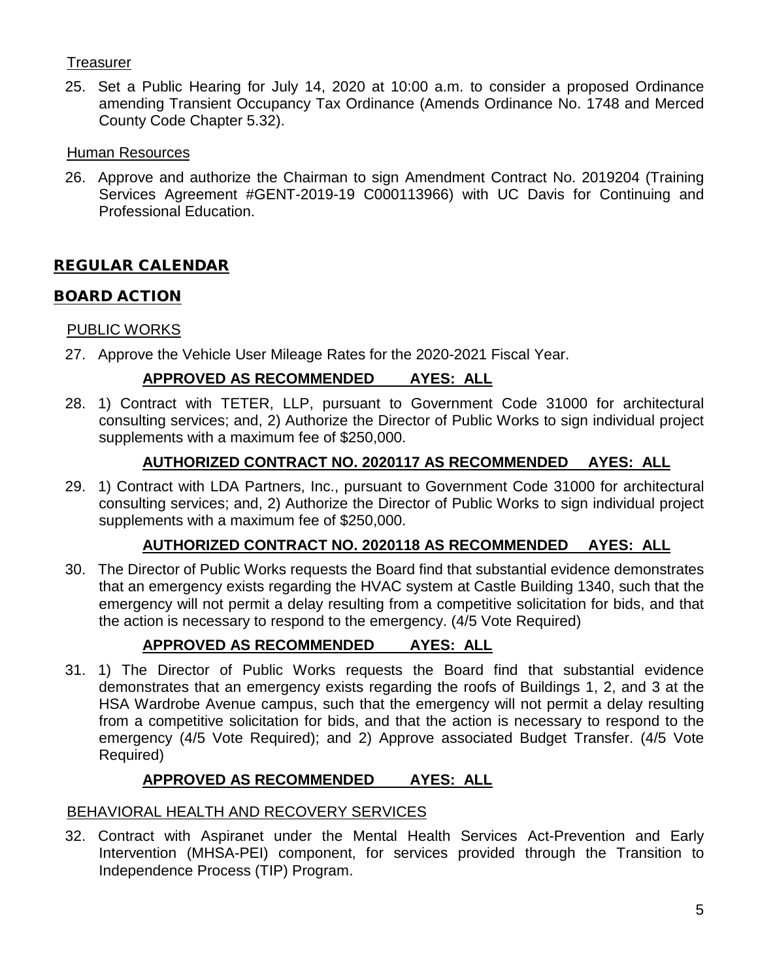## **Treasurer**

25. Set a Public Hearing for July 14, 2020 at 10:00 a.m. to consider a proposed Ordinance amending Transient Occupancy Tax Ordinance (Amends Ordinance No. 1748 and Merced County Code Chapter 5.32).

## Human Resources

26. Approve and authorize the Chairman to sign Amendment Contract No. 2019204 (Training Services Agreement #GENT-2019-19 C000113966) with UC Davis for Continuing and Professional Education.

## REGULAR CALENDAR

## BOARD ACTION

## PUBLIC WORKS

27. Approve the Vehicle User Mileage Rates for the 2020-2021 Fiscal Year.

## **APPROVED AS RECOMMENDED AYES: ALL**

28. 1) Contract with TETER, LLP, pursuant to Government Code 31000 for architectural consulting services; and, 2) Authorize the Director of Public Works to sign individual project supplements with a maximum fee of \$250,000.

## **AUTHORIZED CONTRACT NO. 2020117 AS RECOMMENDED AYES: ALL**

29. 1) Contract with LDA Partners, Inc., pursuant to Government Code 31000 for architectural consulting services; and, 2) Authorize the Director of Public Works to sign individual project supplements with a maximum fee of \$250,000.

## **AUTHORIZED CONTRACT NO. 2020118 AS RECOMMENDED AYES: ALL**

30. The Director of Public Works requests the Board find that substantial evidence demonstrates that an emergency exists regarding the HVAC system at Castle Building 1340, such that the emergency will not permit a delay resulting from a competitive solicitation for bids, and that the action is necessary to respond to the emergency. (4/5 Vote Required)

## **APPROVED AS RECOMMENDED AYES: ALL**

31. 1) The Director of Public Works requests the Board find that substantial evidence demonstrates that an emergency exists regarding the roofs of Buildings 1, 2, and 3 at the HSA Wardrobe Avenue campus, such that the emergency will not permit a delay resulting from a competitive solicitation for bids, and that the action is necessary to respond to the emergency (4/5 Vote Required); and 2) Approve associated Budget Transfer. (4/5 Vote Required)

## **APPROVED AS RECOMMENDED AYES: ALL**

## BEHAVIORAL HEALTH AND RECOVERY SERVICES

32. Contract with Aspiranet under the Mental Health Services Act-Prevention and Early Intervention (MHSA-PEI) component, for services provided through the Transition to Independence Process (TIP) Program.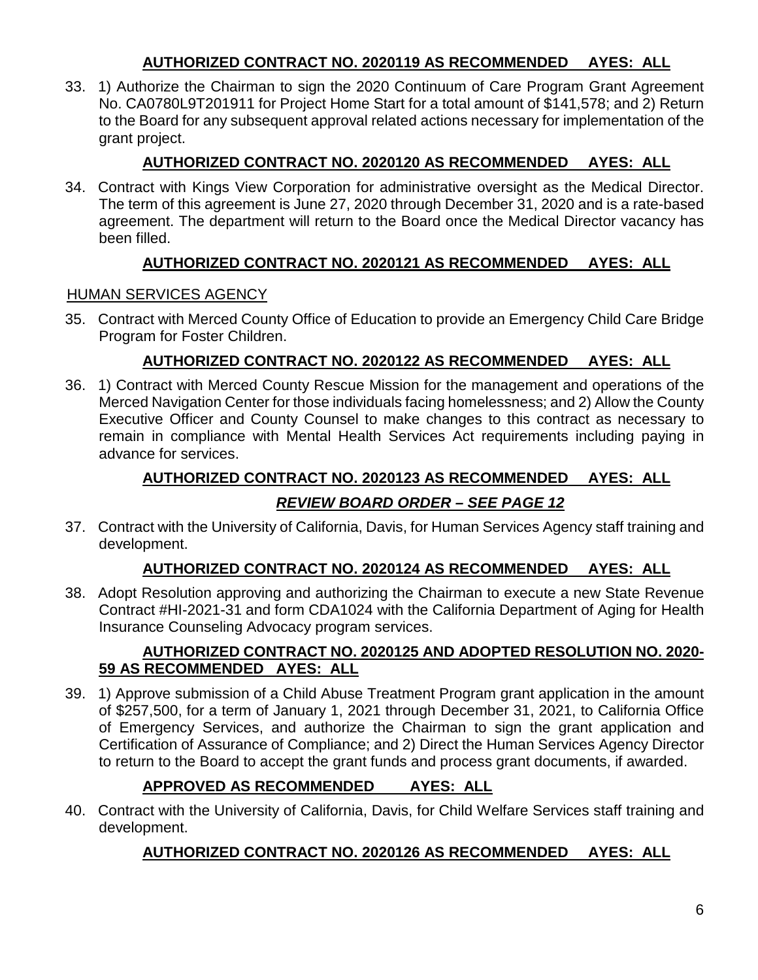## **AUTHORIZED CONTRACT NO. 2020119 AS RECOMMENDED AYES: ALL**

33. 1) Authorize the Chairman to sign the 2020 Continuum of Care Program Grant Agreement No. CA0780L9T201911 for Project Home Start for a total amount of \$141,578; and 2) Return to the Board for any subsequent approval related actions necessary for implementation of the grant project.

## **AUTHORIZED CONTRACT NO. 2020120 AS RECOMMENDED AYES: ALL**

34. Contract with Kings View Corporation for administrative oversight as the Medical Director. The term of this agreement is June 27, 2020 through December 31, 2020 and is a rate-based agreement. The department will return to the Board once the Medical Director vacancy has been filled.

## **AUTHORIZED CONTRACT NO. 2020121 AS RECOMMENDED AYES: ALL**

## HUMAN SERVICES AGENCY

35. Contract with Merced County Office of Education to provide an Emergency Child Care Bridge Program for Foster Children.

## **AUTHORIZED CONTRACT NO. 2020122 AS RECOMMENDED AYES: ALL**

36. 1) Contract with Merced County Rescue Mission for the management and operations of the Merced Navigation Center for those individuals facing homelessness; and 2) Allow the County Executive Officer and County Counsel to make changes to this contract as necessary to remain in compliance with Mental Health Services Act requirements including paying in advance for services.

## **AUTHORIZED CONTRACT NO. 2020123 AS RECOMMENDED AYES: ALL**

## *REVIEW BOARD ORDER – SEE PAGE 12*

37. Contract with the University of California, Davis, for Human Services Agency staff training and development.

## **AUTHORIZED CONTRACT NO. 2020124 AS RECOMMENDED AYES: ALL**

38. Adopt Resolution approving and authorizing the Chairman to execute a new State Revenue Contract #HI-2021-31 and form CDA1024 with the California Department of Aging for Health Insurance Counseling Advocacy program services.

## **AUTHORIZED CONTRACT NO. 2020125 AND ADOPTED RESOLUTION NO. 2020- 59 AS RECOMMENDED AYES: ALL**

39. 1) Approve submission of a Child Abuse Treatment Program grant application in the amount of \$257,500, for a term of January 1, 2021 through December 31, 2021, to California Office of Emergency Services, and authorize the Chairman to sign the grant application and Certification of Assurance of Compliance; and 2) Direct the Human Services Agency Director to return to the Board to accept the grant funds and process grant documents, if awarded.

## **APPROVED AS RECOMMENDED AYES: ALL**

40. Contract with the University of California, Davis, for Child Welfare Services staff training and development.

## **AUTHORIZED CONTRACT NO. 2020126 AS RECOMMENDED AYES: ALL**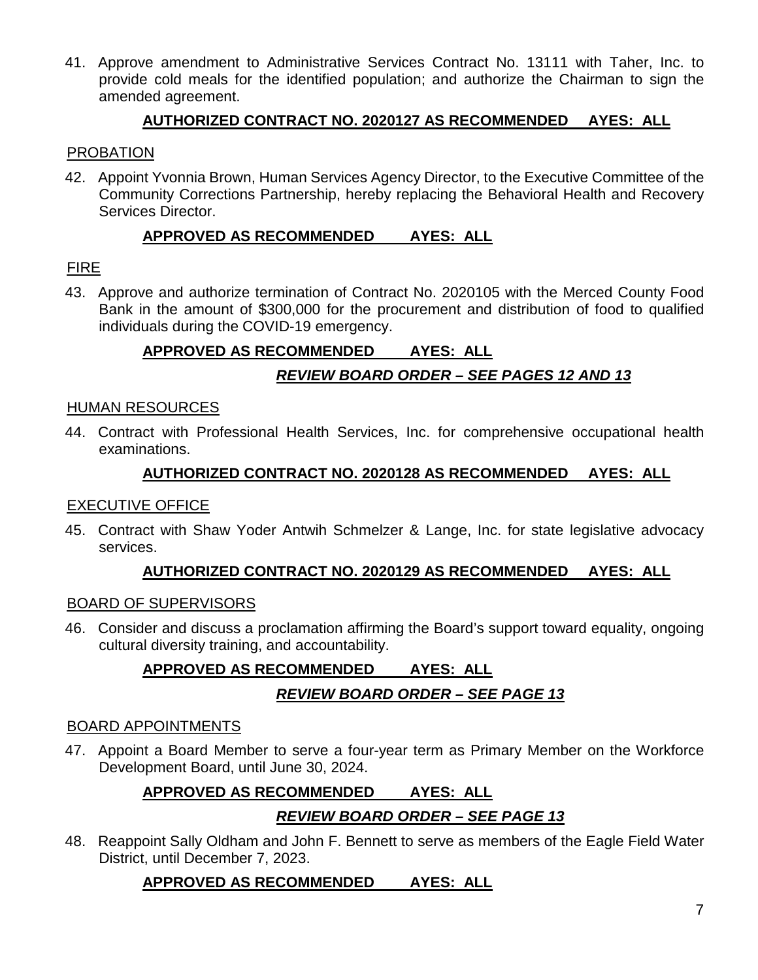41. Approve amendment to Administrative Services Contract No. 13111 with Taher, Inc. to provide cold meals for the identified population; and authorize the Chairman to sign the amended agreement.

#### **AUTHORIZED CONTRACT NO. 2020127 AS RECOMMENDED AYES: ALL**

#### PROBATION

42. Appoint Yvonnia Brown, Human Services Agency Director, to the Executive Committee of the Community Corrections Partnership, hereby replacing the Behavioral Health and Recovery Services Director.

#### **APPROVED AS RECOMMENDED AYES: ALL**

## FIRE

43. Approve and authorize termination of Contract No. 2020105 with the Merced County Food Bank in the amount of \$300,000 for the procurement and distribution of food to qualified individuals during the COVID-19 emergency.

## **APPROVED AS RECOMMENDED AYES: ALL**

## *REVIEW BOARD ORDER – SEE PAGES 12 AND 13*

#### HUMAN RESOURCES

44. Contract with Professional Health Services, Inc. for comprehensive occupational health examinations.

#### **AUTHORIZED CONTRACT NO. 2020128 AS RECOMMENDED AYES: ALL**

#### EXECUTIVE OFFICE

45. Contract with Shaw Yoder Antwih Schmelzer & Lange, Inc. for state legislative advocacy services.

## **AUTHORIZED CONTRACT NO. 2020129 AS RECOMMENDED AYES: ALL**

#### BOARD OF SUPERVISORS

46. Consider and discuss a proclamation affirming the Board's support toward equality, ongoing cultural diversity training, and accountability.

# **APPROVED AS RECOMMENDED AYES: ALL**

## *REVIEW BOARD ORDER – SEE PAGE 13*

#### BOARD APPOINTMENTS

47. Appoint a Board Member to serve a four-year term as Primary Member on the Workforce Development Board, until June 30, 2024.

## **APPROVED AS RECOMMENDED AYES: ALL**

## *REVIEW BOARD ORDER – SEE PAGE 13*

48. Reappoint Sally Oldham and John F. Bennett to serve as members of the Eagle Field Water District, until December 7, 2023.

## **APPROVED AS RECOMMENDED AYES: ALL**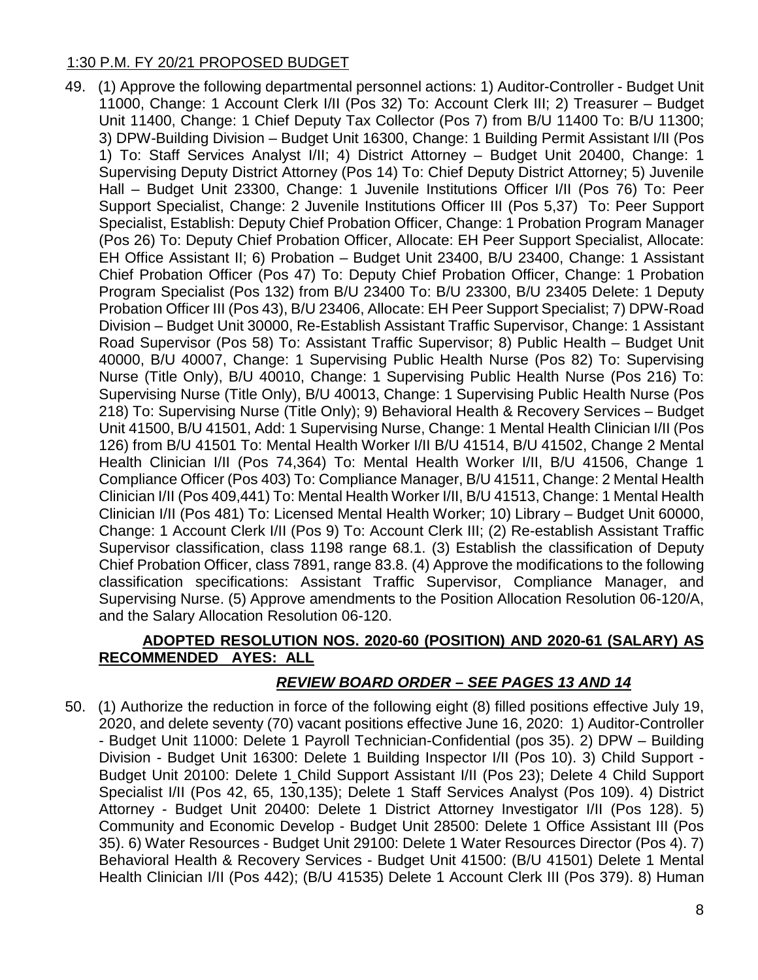#### 1:30 P.M. FY 20/21 PROPOSED BUDGET

49. (1) Approve the following departmental personnel actions: 1) Auditor-Controller - Budget Unit 11000, Change: 1 Account Clerk I/II (Pos 32) To: Account Clerk III; 2) Treasurer – Budget Unit 11400, Change: 1 Chief Deputy Tax Collector (Pos 7) from B/U 11400 To: B/U 11300; 3) DPW-Building Division – Budget Unit 16300, Change: 1 Building Permit Assistant I/II (Pos 1) To: Staff Services Analyst I/II; 4) District Attorney – Budget Unit 20400, Change: 1 Supervising Deputy District Attorney (Pos 14) To: Chief Deputy District Attorney; 5) Juvenile Hall – Budget Unit 23300, Change: 1 Juvenile Institutions Officer I/II (Pos 76) To: Peer Support Specialist, Change: 2 Juvenile Institutions Officer III (Pos 5,37) To: Peer Support Specialist, Establish: Deputy Chief Probation Officer, Change: 1 Probation Program Manager (Pos 26) To: Deputy Chief Probation Officer, Allocate: EH Peer Support Specialist, Allocate: EH Office Assistant II; 6) Probation – Budget Unit 23400, B/U 23400, Change: 1 Assistant Chief Probation Officer (Pos 47) To: Deputy Chief Probation Officer, Change: 1 Probation Program Specialist (Pos 132) from B/U 23400 To: B/U 23300, B/U 23405 Delete: 1 Deputy Probation Officer III (Pos 43), B/U 23406, Allocate: EH Peer Support Specialist; 7) DPW-Road Division – Budget Unit 30000, Re-Establish Assistant Traffic Supervisor, Change: 1 Assistant Road Supervisor (Pos 58) To: Assistant Traffic Supervisor; 8) Public Health – Budget Unit 40000, B/U 40007, Change: 1 Supervising Public Health Nurse (Pos 82) To: Supervising Nurse (Title Only), B/U 40010, Change: 1 Supervising Public Health Nurse (Pos 216) To: Supervising Nurse (Title Only), B/U 40013, Change: 1 Supervising Public Health Nurse (Pos 218) To: Supervising Nurse (Title Only); 9) Behavioral Health & Recovery Services – Budget Unit 41500, B/U 41501, Add: 1 Supervising Nurse, Change: 1 Mental Health Clinician I/II (Pos 126) from B/U 41501 To: Mental Health Worker I/II B/U 41514, B/U 41502, Change 2 Mental Health Clinician I/II (Pos 74,364) To: Mental Health Worker I/II, B/U 41506, Change 1 Compliance Officer (Pos 403) To: Compliance Manager, B/U 41511, Change: 2 Mental Health Clinician I/II (Pos 409,441) To: Mental Health Worker I/II, B/U 41513, Change: 1 Mental Health Clinician I/II (Pos 481) To: Licensed Mental Health Worker; 10) Library – Budget Unit 60000, Change: 1 Account Clerk I/II (Pos 9) To: Account Clerk III; (2) Re-establish Assistant Traffic Supervisor classification, class 1198 range 68.1. (3) Establish the classification of Deputy Chief Probation Officer, class 7891, range 83.8. (4) Approve the modifications to the following classification specifications: Assistant Traffic Supervisor, Compliance Manager, and Supervising Nurse. (5) Approve amendments to the Position Allocation Resolution 06-120/A, and the Salary Allocation Resolution 06-120.

#### **ADOPTED RESOLUTION NOS. 2020-60 (POSITION) AND 2020-61 (SALARY) AS RECOMMENDED AYES: ALL**

## *REVIEW BOARD ORDER – SEE PAGES 13 AND 14*

50. (1) Authorize the reduction in force of the following eight (8) filled positions effective July 19, 2020, and delete seventy (70) vacant positions effective June 16, 2020: 1) Auditor-Controller - Budget Unit 11000: Delete 1 Payroll Technician-Confidential (pos 35). 2) DPW – Building Division - Budget Unit 16300: Delete 1 Building Inspector I/II (Pos 10). 3) Child Support - Budget Unit 20100: Delete 1 Child Support Assistant I/II (Pos 23); Delete 4 Child Support Specialist I/II (Pos 42, 65, 130,135); Delete 1 Staff Services Analyst (Pos 109). 4) District Attorney - Budget Unit 20400: Delete 1 District Attorney Investigator I/II (Pos 128). 5) Community and Economic Develop - Budget Unit 28500: Delete 1 Office Assistant III (Pos 35). 6) Water Resources - Budget Unit 29100: Delete 1 Water Resources Director (Pos 4). 7) Behavioral Health & Recovery Services - Budget Unit 41500: (B/U 41501) Delete 1 Mental Health Clinician I/II (Pos 442); (B/U 41535) Delete 1 Account Clerk III (Pos 379). 8) Human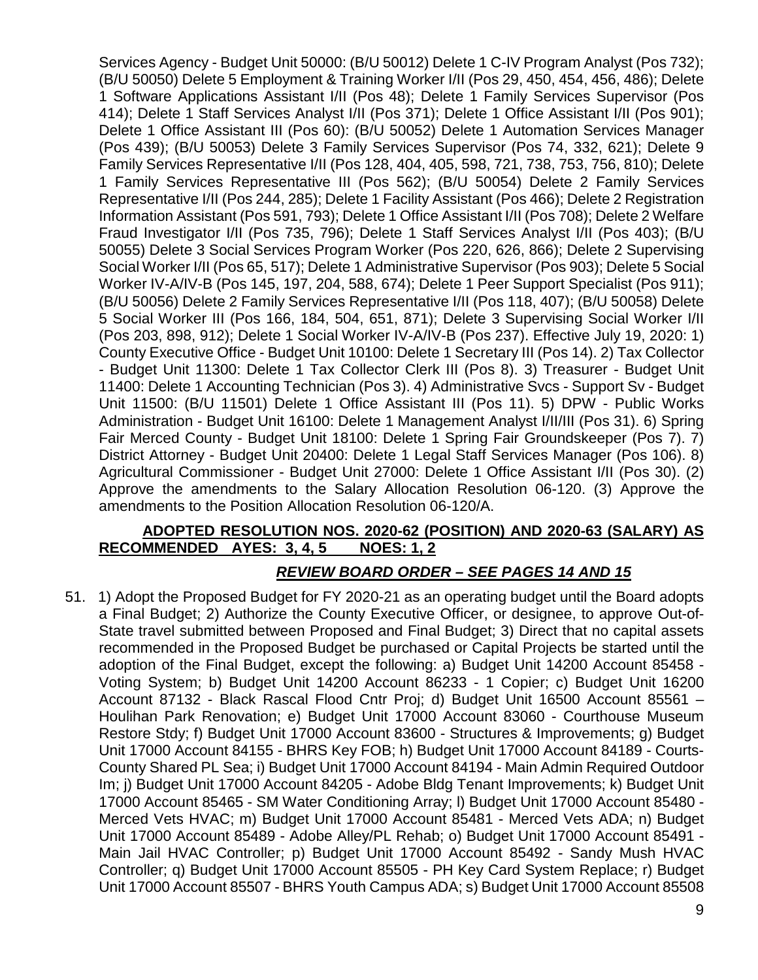Services Agency - Budget Unit 50000: (B/U 50012) Delete 1 C-IV Program Analyst (Pos 732); (B/U 50050) Delete 5 Employment & Training Worker I/II (Pos 29, 450, 454, 456, 486); Delete 1 Software Applications Assistant I/II (Pos 48); Delete 1 Family Services Supervisor (Pos 414); Delete 1 Staff Services Analyst I/II (Pos 371); Delete 1 Office Assistant I/II (Pos 901); Delete 1 Office Assistant III (Pos 60): (B/U 50052) Delete 1 Automation Services Manager (Pos 439); (B/U 50053) Delete 3 Family Services Supervisor (Pos 74, 332, 621); Delete 9 Family Services Representative I/II (Pos 128, 404, 405, 598, 721, 738, 753, 756, 810); Delete 1 Family Services Representative III (Pos 562); (B/U 50054) Delete 2 Family Services Representative I/II (Pos 244, 285); Delete 1 Facility Assistant (Pos 466); Delete 2 Registration Information Assistant (Pos 591, 793); Delete 1 Office Assistant I/II (Pos 708); Delete 2 Welfare Fraud Investigator I/II (Pos 735, 796); Delete 1 Staff Services Analyst I/II (Pos 403); (B/U 50055) Delete 3 Social Services Program Worker (Pos 220, 626, 866); Delete 2 Supervising Social Worker I/II (Pos 65, 517); Delete 1 Administrative Supervisor (Pos 903); Delete 5 Social Worker IV-A/IV-B (Pos 145, 197, 204, 588, 674); Delete 1 Peer Support Specialist (Pos 911); (B/U 50056) Delete 2 Family Services Representative I/II (Pos 118, 407); (B/U 50058) Delete 5 Social Worker III (Pos 166, 184, 504, 651, 871); Delete 3 Supervising Social Worker I/II (Pos 203, 898, 912); Delete 1 Social Worker IV-A/IV-B (Pos 237). Effective July 19, 2020: 1) County Executive Office - Budget Unit 10100: Delete 1 Secretary III (Pos 14). 2) Tax Collector - Budget Unit 11300: Delete 1 Tax Collector Clerk III (Pos 8). 3) Treasurer - Budget Unit 11400: Delete 1 Accounting Technician (Pos 3). 4) Administrative Svcs - Support Sv - Budget Unit 11500: (B/U 11501) Delete 1 Office Assistant III (Pos 11). 5) DPW - Public Works Administration - Budget Unit 16100: Delete 1 Management Analyst I/II/III (Pos 31). 6) Spring Fair Merced County - Budget Unit 18100: Delete 1 Spring Fair Groundskeeper (Pos 7). 7) District Attorney - Budget Unit 20400: Delete 1 Legal Staff Services Manager (Pos 106). 8) Agricultural Commissioner - Budget Unit 27000: Delete 1 Office Assistant I/II (Pos 30). (2) Approve the amendments to the Salary Allocation Resolution 06-120. (3) Approve the amendments to the Position Allocation Resolution 06-120/A.

## **ADOPTED RESOLUTION NOS. 2020-62 (POSITION) AND 2020-63 (SALARY) AS RECOMMENDED AYES: 3, 4, 5 NOES: 1, 2**

## *REVIEW BOARD ORDER – SEE PAGES 14 AND 15*

51. 1) Adopt the Proposed Budget for FY 2020-21 as an operating budget until the Board adopts a Final Budget; 2) Authorize the County Executive Officer, or designee, to approve Out-of-State travel submitted between Proposed and Final Budget; 3) Direct that no capital assets recommended in the Proposed Budget be purchased or Capital Projects be started until the adoption of the Final Budget, except the following: a) Budget Unit 14200 Account 85458 - Voting System; b) Budget Unit 14200 Account 86233 - 1 Copier; c) Budget Unit 16200 Account 87132 - Black Rascal Flood Cntr Proj; d) Budget Unit 16500 Account 85561 – Houlihan Park Renovation; e) Budget Unit 17000 Account 83060 - Courthouse Museum Restore Stdy; f) Budget Unit 17000 Account 83600 - Structures & Improvements; g) Budget Unit 17000 Account 84155 - BHRS Key FOB; h) Budget Unit 17000 Account 84189 - Courts-County Shared PL Sea; i) Budget Unit 17000 Account 84194 - Main Admin Required Outdoor Im; j) Budget Unit 17000 Account 84205 - Adobe Bldg Tenant Improvements; k) Budget Unit 17000 Account 85465 - SM Water Conditioning Array; l) Budget Unit 17000 Account 85480 - Merced Vets HVAC; m) Budget Unit 17000 Account 85481 - Merced Vets ADA; n) Budget Unit 17000 Account 85489 - Adobe Alley/PL Rehab; o) Budget Unit 17000 Account 85491 - Main Jail HVAC Controller; p) Budget Unit 17000 Account 85492 - Sandy Mush HVAC Controller; q) Budget Unit 17000 Account 85505 - PH Key Card System Replace; r) Budget Unit 17000 Account 85507 - BHRS Youth Campus ADA; s) Budget Unit 17000 Account 85508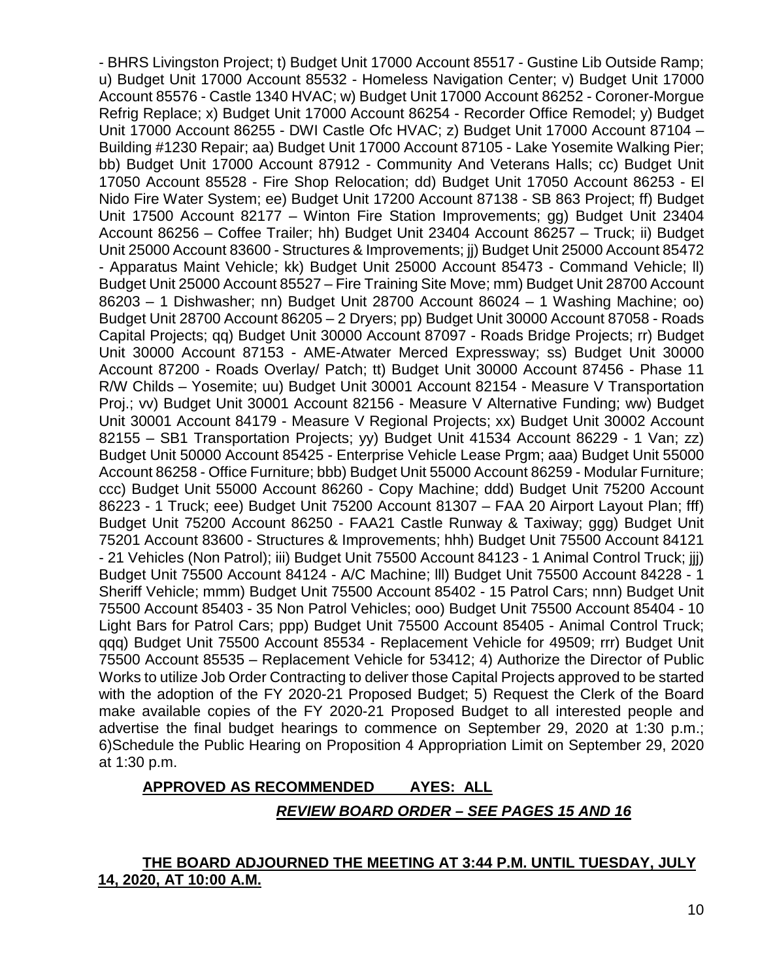- BHRS Livingston Project; t) Budget Unit 17000 Account 85517 - Gustine Lib Outside Ramp; u) Budget Unit 17000 Account 85532 - Homeless Navigation Center; v) Budget Unit 17000 Account 85576 - Castle 1340 HVAC; w) Budget Unit 17000 Account 86252 - Coroner-Morgue Refrig Replace; x) Budget Unit 17000 Account 86254 - Recorder Office Remodel; y) Budget Unit 17000 Account 86255 - DWI Castle Ofc HVAC; z) Budget Unit 17000 Account 87104 – Building #1230 Repair; aa) Budget Unit 17000 Account 87105 - Lake Yosemite Walking Pier; bb) Budget Unit 17000 Account 87912 - Community And Veterans Halls; cc) Budget Unit 17050 Account 85528 - Fire Shop Relocation; dd) Budget Unit 17050 Account 86253 - El Nido Fire Water System; ee) Budget Unit 17200 Account 87138 - SB 863 Project; ff) Budget Unit 17500 Account 82177 – Winton Fire Station Improvements; gg) Budget Unit 23404 Account 86256 – Coffee Trailer; hh) Budget Unit 23404 Account 86257 – Truck; ii) Budget Unit 25000 Account 83600 - Structures & Improvements; jj) Budget Unit 25000 Account 85472 - Apparatus Maint Vehicle; kk) Budget Unit 25000 Account 85473 - Command Vehicle; ll) Budget Unit 25000 Account 85527 – Fire Training Site Move; mm) Budget Unit 28700 Account 86203 – 1 Dishwasher; nn) Budget Unit 28700 Account 86024 – 1 Washing Machine; oo) Budget Unit 28700 Account 86205 – 2 Dryers; pp) Budget Unit 30000 Account 87058 - Roads Capital Projects; qq) Budget Unit 30000 Account 87097 - Roads Bridge Projects; rr) Budget Unit 30000 Account 87153 - AME-Atwater Merced Expressway; ss) Budget Unit 30000 Account 87200 - Roads Overlay/ Patch; tt) Budget Unit 30000 Account 87456 - Phase 11 R/W Childs – Yosemite; uu) Budget Unit 30001 Account 82154 - Measure V Transportation Proj.; vv) Budget Unit 30001 Account 82156 - Measure V Alternative Funding; ww) Budget Unit 30001 Account 84179 - Measure V Regional Projects; xx) Budget Unit 30002 Account 82155 – SB1 Transportation Projects; yy) Budget Unit 41534 Account 86229 - 1 Van; zz) Budget Unit 50000 Account 85425 - Enterprise Vehicle Lease Prgm; aaa) Budget Unit 55000 Account 86258 - Office Furniture; bbb) Budget Unit 55000 Account 86259 - Modular Furniture; ccc) Budget Unit 55000 Account 86260 - Copy Machine; ddd) Budget Unit 75200 Account 86223 - 1 Truck; eee) Budget Unit 75200 Account 81307 – FAA 20 Airport Layout Plan; fff) Budget Unit 75200 Account 86250 - FAA21 Castle Runway & Taxiway; ggg) Budget Unit 75201 Account 83600 - Structures & Improvements; hhh) Budget Unit 75500 Account 84121 - 21 Vehicles (Non Patrol); iii) Budget Unit 75500 Account 84123 - 1 Animal Control Truck; jjj) Budget Unit 75500 Account 84124 - A/C Machine; lll) Budget Unit 75500 Account 84228 - 1 Sheriff Vehicle; mmm) Budget Unit 75500 Account 85402 - 15 Patrol Cars; nnn) Budget Unit 75500 Account 85403 - 35 Non Patrol Vehicles; ooo) Budget Unit 75500 Account 85404 - 10 Light Bars for Patrol Cars; ppp) Budget Unit 75500 Account 85405 - Animal Control Truck; qqq) Budget Unit 75500 Account 85534 - Replacement Vehicle for 49509; rrr) Budget Unit 75500 Account 85535 – Replacement Vehicle for 53412; 4) Authorize the Director of Public Works to utilize Job Order Contracting to deliver those Capital Projects approved to be started with the adoption of the FY 2020-21 Proposed Budget; 5) Request the Clerk of the Board make available copies of the FY 2020-21 Proposed Budget to all interested people and advertise the final budget hearings to commence on September 29, 2020 at 1:30 p.m.; 6)Schedule the Public Hearing on Proposition 4 Appropriation Limit on September 29, 2020 at 1:30 p.m.

#### **APPROVED AS RECOMMENDED AYES: ALL**

#### *REVIEW BOARD ORDER – SEE PAGES 15 AND 16*

#### **THE BOARD ADJOURNED THE MEETING AT 3:44 P.M. UNTIL TUESDAY, JULY 14, 2020, AT 10:00 A.M.**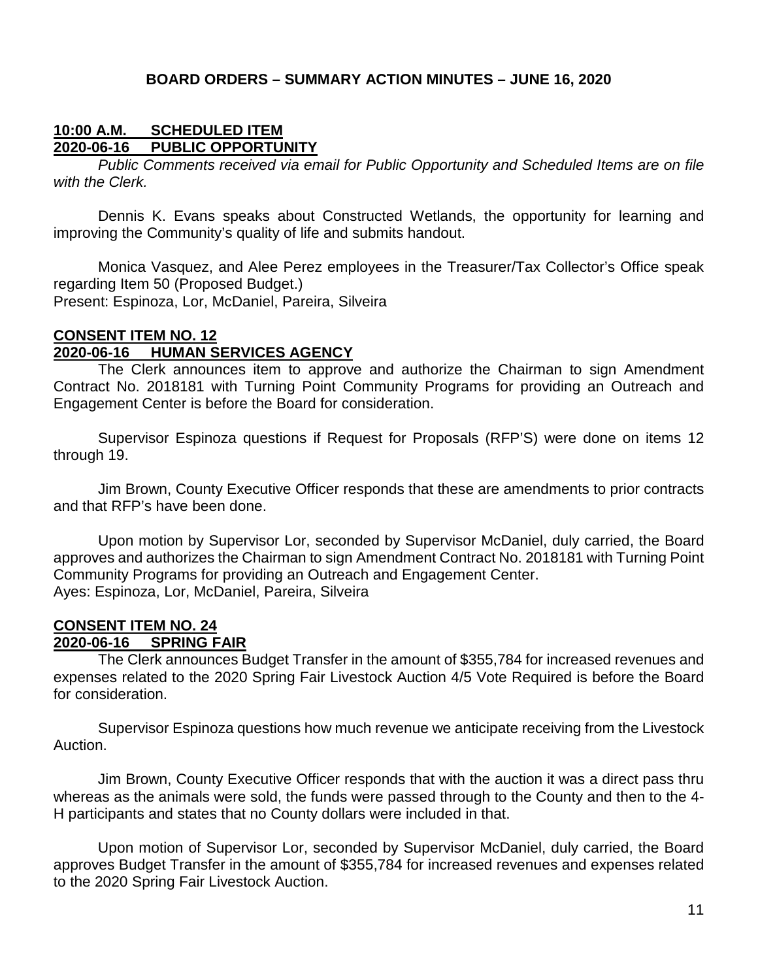#### **BOARD ORDERS – SUMMARY ACTION MINUTES – JUNE 16, 2020**

#### **10:00 A.M. SCHEDULED ITEM 2020-06-16 PUBLIC OPPORTUNITY**

*Public Comments received via email for Public Opportunity and Scheduled Items are on file with the Clerk.*

Dennis K. Evans speaks about Constructed Wetlands, the opportunity for learning and improving the Community's quality of life and submits handout.

Monica Vasquez, and Alee Perez employees in the Treasurer/Tax Collector's Office speak regarding Item 50 (Proposed Budget.) Present: Espinoza, Lor, McDaniel, Pareira, Silveira

#### **CONSENT ITEM NO. 12 2020-06-16 HUMAN SERVICES AGENCY**

The Clerk announces item to approve and authorize the Chairman to sign Amendment Contract No. 2018181 with Turning Point Community Programs for providing an Outreach and Engagement Center is before the Board for consideration.

Supervisor Espinoza questions if Request for Proposals (RFP'S) were done on items 12 through 19.

Jim Brown, County Executive Officer responds that these are amendments to prior contracts and that RFP's have been done.

Upon motion by Supervisor Lor, seconded by Supervisor McDaniel, duly carried, the Board approves and authorizes the Chairman to sign Amendment Contract No. 2018181 with Turning Point Community Programs for providing an Outreach and Engagement Center. Ayes: Espinoza, Lor, McDaniel, Pareira, Silveira

#### **CONSENT ITEM NO. 24 2020-06-16 SPRING FAIR**

The Clerk announces Budget Transfer in the amount of \$355,784 for increased revenues and expenses related to the 2020 Spring Fair Livestock Auction 4/5 Vote Required is before the Board for consideration.

Supervisor Espinoza questions how much revenue we anticipate receiving from the Livestock Auction.

Jim Brown, County Executive Officer responds that with the auction it was a direct pass thru whereas as the animals were sold, the funds were passed through to the County and then to the 4- H participants and states that no County dollars were included in that.

Upon motion of Supervisor Lor, seconded by Supervisor McDaniel, duly carried, the Board approves Budget Transfer in the amount of \$355,784 for increased revenues and expenses related to the 2020 Spring Fair Livestock Auction.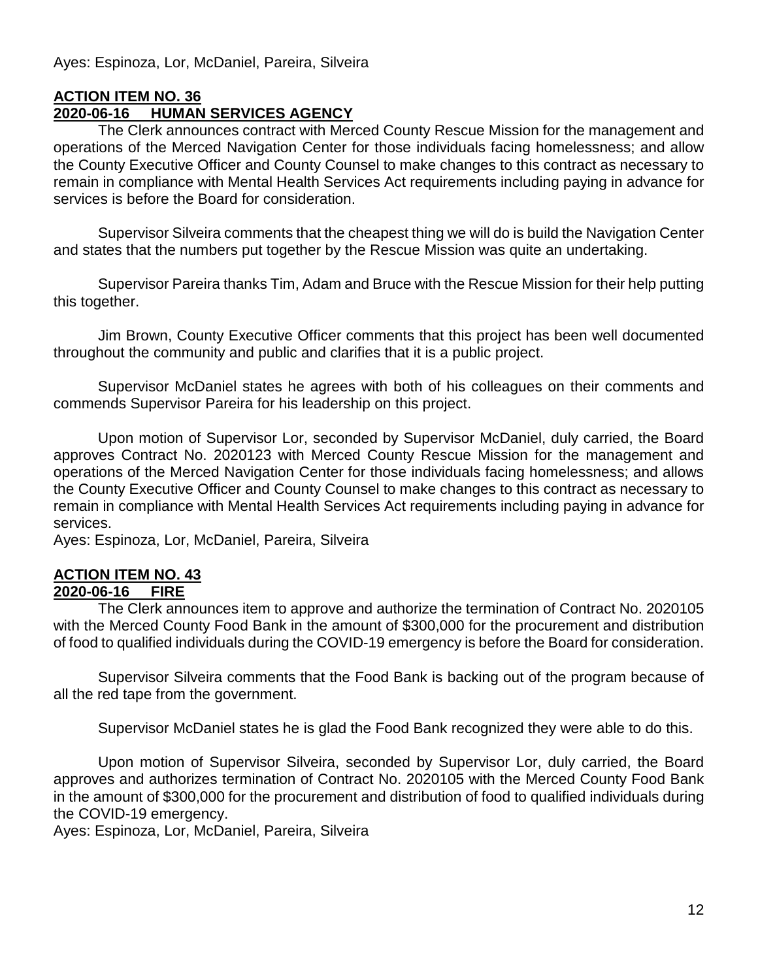Ayes: Espinoza, Lor, McDaniel, Pareira, Silveira

## **ACTION ITEM NO. 36**

## **2020-06-16 HUMAN SERVICES AGENCY**

The Clerk announces contract with Merced County Rescue Mission for the management and operations of the Merced Navigation Center for those individuals facing homelessness; and allow the County Executive Officer and County Counsel to make changes to this contract as necessary to remain in compliance with Mental Health Services Act requirements including paying in advance for services is before the Board for consideration.

Supervisor Silveira comments that the cheapest thing we will do is build the Navigation Center and states that the numbers put together by the Rescue Mission was quite an undertaking.

Supervisor Pareira thanks Tim, Adam and Bruce with the Rescue Mission for their help putting this together.

Jim Brown, County Executive Officer comments that this project has been well documented throughout the community and public and clarifies that it is a public project.

Supervisor McDaniel states he agrees with both of his colleagues on their comments and commends Supervisor Pareira for his leadership on this project.

Upon motion of Supervisor Lor, seconded by Supervisor McDaniel, duly carried, the Board approves Contract No. 2020123 with Merced County Rescue Mission for the management and operations of the Merced Navigation Center for those individuals facing homelessness; and allows the County Executive Officer and County Counsel to make changes to this contract as necessary to remain in compliance with Mental Health Services Act requirements including paying in advance for services.

Ayes: Espinoza, Lor, McDaniel, Pareira, Silveira

## **ACTION ITEM NO. 43**

#### **2020-06-16 FIRE**

The Clerk announces item to approve and authorize the termination of Contract No. 2020105 with the Merced County Food Bank in the amount of \$300,000 for the procurement and distribution of food to qualified individuals during the COVID-19 emergency is before the Board for consideration.

Supervisor Silveira comments that the Food Bank is backing out of the program because of all the red tape from the government.

Supervisor McDaniel states he is glad the Food Bank recognized they were able to do this.

Upon motion of Supervisor Silveira, seconded by Supervisor Lor, duly carried, the Board approves and authorizes termination of Contract No. 2020105 with the Merced County Food Bank in the amount of \$300,000 for the procurement and distribution of food to qualified individuals during the COVID-19 emergency.

Ayes: Espinoza, Lor, McDaniel, Pareira, Silveira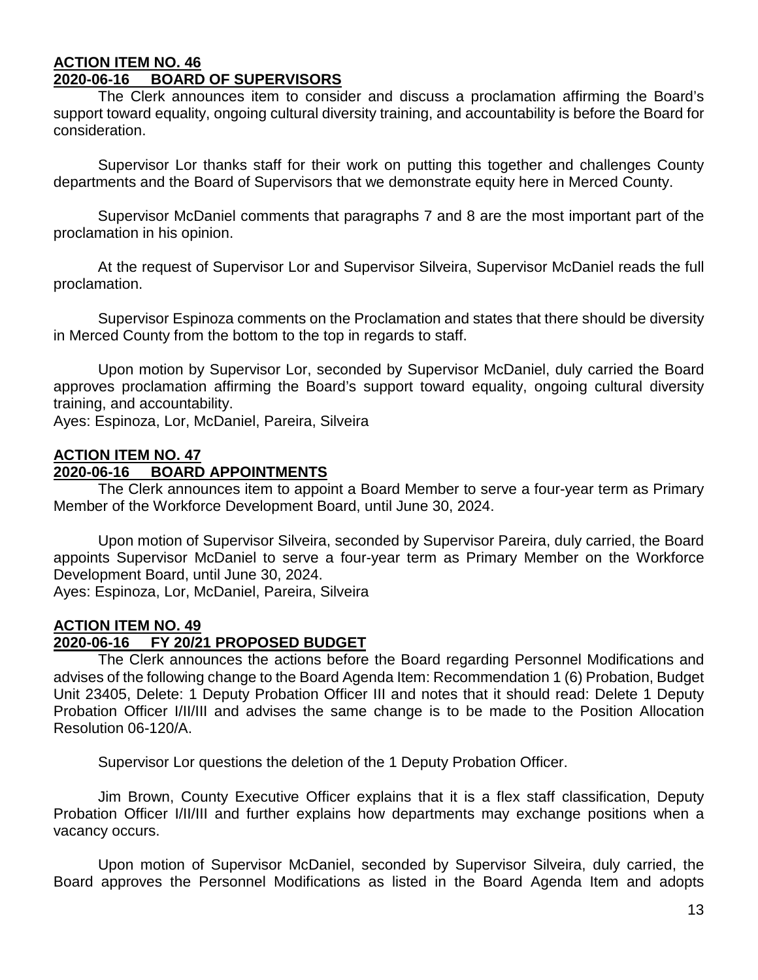#### **ACTION ITEM NO. 46 2020-06-16 BOARD OF SUPERVISORS**

The Clerk announces item to consider and discuss a proclamation affirming the Board's support toward equality, ongoing cultural diversity training, and accountability is before the Board for consideration.

Supervisor Lor thanks staff for their work on putting this together and challenges County departments and the Board of Supervisors that we demonstrate equity here in Merced County.

Supervisor McDaniel comments that paragraphs 7 and 8 are the most important part of the proclamation in his opinion.

At the request of Supervisor Lor and Supervisor Silveira, Supervisor McDaniel reads the full proclamation.

Supervisor Espinoza comments on the Proclamation and states that there should be diversity in Merced County from the bottom to the top in regards to staff.

Upon motion by Supervisor Lor, seconded by Supervisor McDaniel, duly carried the Board approves proclamation affirming the Board's support toward equality, ongoing cultural diversity training, and accountability.

Ayes: Espinoza, Lor, McDaniel, Pareira, Silveira

## **ACTION ITEM NO. 47**

## **2020-06-16 BOARD APPOINTMENTS**

The Clerk announces item to appoint a Board Member to serve a four-year term as Primary Member of the Workforce Development Board, until June 30, 2024.

Upon motion of Supervisor Silveira, seconded by Supervisor Pareira, duly carried, the Board appoints Supervisor McDaniel to serve a four-year term as Primary Member on the Workforce Development Board, until June 30, 2024.

Ayes: Espinoza, Lor, McDaniel, Pareira, Silveira

# **ACTION ITEM NO. 49**

## **2020-06-16 FY 20/21 PROPOSED BUDGET**

The Clerk announces the actions before the Board regarding Personnel Modifications and advises of the following change to the Board Agenda Item: Recommendation 1 (6) Probation, Budget Unit 23405, Delete: 1 Deputy Probation Officer III and notes that it should read: Delete 1 Deputy Probation Officer I/II/III and advises the same change is to be made to the Position Allocation Resolution 06-120/A.

Supervisor Lor questions the deletion of the 1 Deputy Probation Officer.

Jim Brown, County Executive Officer explains that it is a flex staff classification, Deputy Probation Officer I/II/III and further explains how departments may exchange positions when a vacancy occurs.

Upon motion of Supervisor McDaniel, seconded by Supervisor Silveira, duly carried, the Board approves the Personnel Modifications as listed in the Board Agenda Item and adopts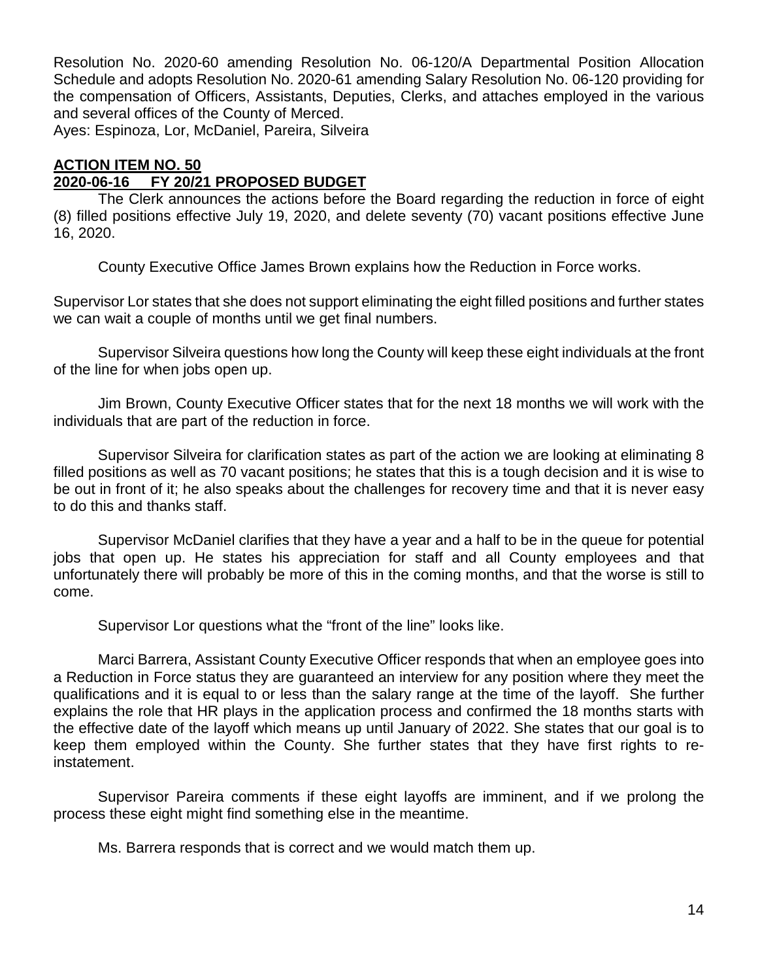Resolution No. 2020-60 amending Resolution No. 06-120/A Departmental Position Allocation Schedule and adopts Resolution No. 2020-61 amending Salary Resolution No. 06-120 providing for the compensation of Officers, Assistants, Deputies, Clerks, and attaches employed in the various and several offices of the County of Merced.

Ayes: Espinoza, Lor, McDaniel, Pareira, Silveira

## **ACTION ITEM NO. 50**

## **2020-06-16 FY 20/21 PROPOSED BUDGET**

The Clerk announces the actions before the Board regarding the reduction in force of eight (8) filled positions effective July 19, 2020, and delete seventy (70) vacant positions effective June 16, 2020.

County Executive Office James Brown explains how the Reduction in Force works.

Supervisor Lor states that she does not support eliminating the eight filled positions and further states we can wait a couple of months until we get final numbers.

Supervisor Silveira questions how long the County will keep these eight individuals at the front of the line for when jobs open up.

Jim Brown, County Executive Officer states that for the next 18 months we will work with the individuals that are part of the reduction in force.

Supervisor Silveira for clarification states as part of the action we are looking at eliminating 8 filled positions as well as 70 vacant positions; he states that this is a tough decision and it is wise to be out in front of it; he also speaks about the challenges for recovery time and that it is never easy to do this and thanks staff.

Supervisor McDaniel clarifies that they have a year and a half to be in the queue for potential jobs that open up. He states his appreciation for staff and all County employees and that unfortunately there will probably be more of this in the coming months, and that the worse is still to come.

Supervisor Lor questions what the "front of the line" looks like.

Marci Barrera, Assistant County Executive Officer responds that when an employee goes into a Reduction in Force status they are guaranteed an interview for any position where they meet the qualifications and it is equal to or less than the salary range at the time of the layoff. She further explains the role that HR plays in the application process and confirmed the 18 months starts with the effective date of the layoff which means up until January of 2022. She states that our goal is to keep them employed within the County. She further states that they have first rights to reinstatement.

Supervisor Pareira comments if these eight layoffs are imminent, and if we prolong the process these eight might find something else in the meantime.

Ms. Barrera responds that is correct and we would match them up.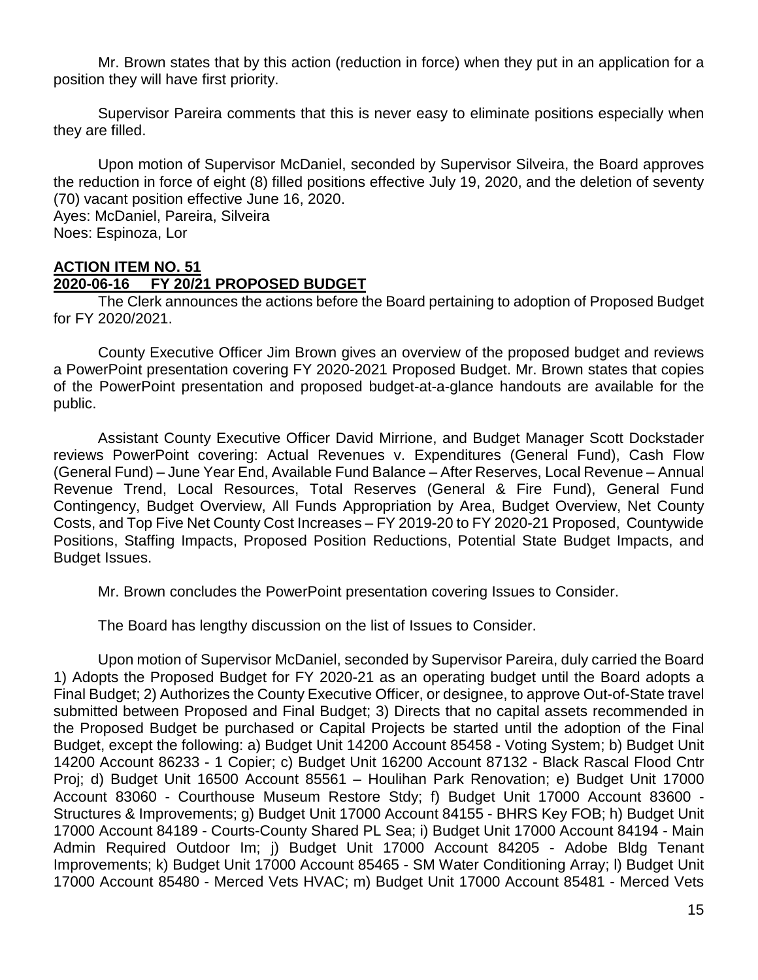Mr. Brown states that by this action (reduction in force) when they put in an application for a position they will have first priority.

Supervisor Pareira comments that this is never easy to eliminate positions especially when they are filled.

Upon motion of Supervisor McDaniel, seconded by Supervisor Silveira, the Board approves the reduction in force of eight (8) filled positions effective July 19, 2020, and the deletion of seventy (70) vacant position effective June 16, 2020. Ayes: McDaniel, Pareira, Silveira Noes: Espinoza, Lor

#### **ACTION ITEM NO. 51**

#### **2020-06-16 FY 20/21 PROPOSED BUDGET**

The Clerk announces the actions before the Board pertaining to adoption of Proposed Budget for FY 2020/2021.

County Executive Officer Jim Brown gives an overview of the proposed budget and reviews a PowerPoint presentation covering FY 2020-2021 Proposed Budget. Mr. Brown states that copies of the PowerPoint presentation and proposed budget-at-a-glance handouts are available for the public.

Assistant County Executive Officer David Mirrione, and Budget Manager Scott Dockstader reviews PowerPoint covering: Actual Revenues v. Expenditures (General Fund), Cash Flow (General Fund) – June Year End, Available Fund Balance – After Reserves, Local Revenue – Annual Revenue Trend, Local Resources, Total Reserves (General & Fire Fund), General Fund Contingency, Budget Overview, All Funds Appropriation by Area, Budget Overview, Net County Costs, and Top Five Net County Cost Increases – FY 2019-20 to FY 2020-21 Proposed, Countywide Positions, Staffing Impacts, Proposed Position Reductions, Potential State Budget Impacts, and Budget Issues.

Mr. Brown concludes the PowerPoint presentation covering Issues to Consider.

The Board has lengthy discussion on the list of Issues to Consider.

Upon motion of Supervisor McDaniel, seconded by Supervisor Pareira, duly carried the Board 1) Adopts the Proposed Budget for FY 2020-21 as an operating budget until the Board adopts a Final Budget; 2) Authorizes the County Executive Officer, or designee, to approve Out-of-State travel submitted between Proposed and Final Budget; 3) Directs that no capital assets recommended in the Proposed Budget be purchased or Capital Projects be started until the adoption of the Final Budget, except the following: a) Budget Unit 14200 Account 85458 - Voting System; b) Budget Unit 14200 Account 86233 - 1 Copier; c) Budget Unit 16200 Account 87132 - Black Rascal Flood Cntr Proj; d) Budget Unit 16500 Account 85561 – Houlihan Park Renovation; e) Budget Unit 17000 Account 83060 - Courthouse Museum Restore Stdy; f) Budget Unit 17000 Account 83600 - Structures & Improvements; g) Budget Unit 17000 Account 84155 - BHRS Key FOB; h) Budget Unit 17000 Account 84189 - Courts-County Shared PL Sea; i) Budget Unit 17000 Account 84194 - Main Admin Required Outdoor Im; j) Budget Unit 17000 Account 84205 - Adobe Bldg Tenant Improvements; k) Budget Unit 17000 Account 85465 - SM Water Conditioning Array; l) Budget Unit 17000 Account 85480 - Merced Vets HVAC; m) Budget Unit 17000 Account 85481 - Merced Vets